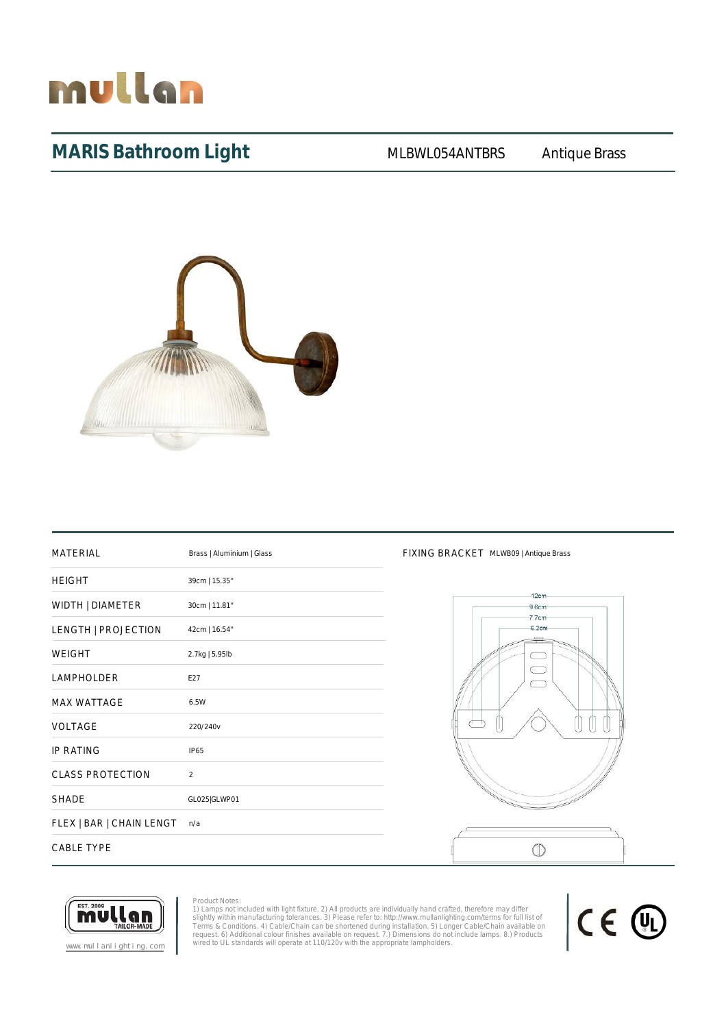

## MARIS Bathroom Light MLBWL054ANTBRS Antique Brass



| <b>MATERIAL</b>          | Brass   Aluminium   Glass |
|--------------------------|---------------------------|
| <b>HEIGHT</b>            | 39cm   15.35"             |
| WIDTH   DIAMETER         | 30cm   11.81"             |
| LENGTH   PROJECTION      | 42cm   16.54"             |
| <b>WEIGHT</b>            | 2.7kg   5.95lb            |
| <b>LAMPHOLDER</b>        | E27                       |
| <b>MAX WATTAGE</b>       | 6.5W                      |
| <b>VOLTAGE</b>           | 220/240v                  |
| <b>IP RATING</b>         | <b>IP65</b>               |
| <b>CLASS PROTECTION</b>  | $\mathfrak{D}$            |
| <b>SHADE</b>             | GL025 GLWP01              |
| FLEX   BAR   CHAIN LENGT | n/a                       |
| <b>CABLE TYPE</b>        |                           |

#### FIXING BRACKET MLWB09 | Antique Brass





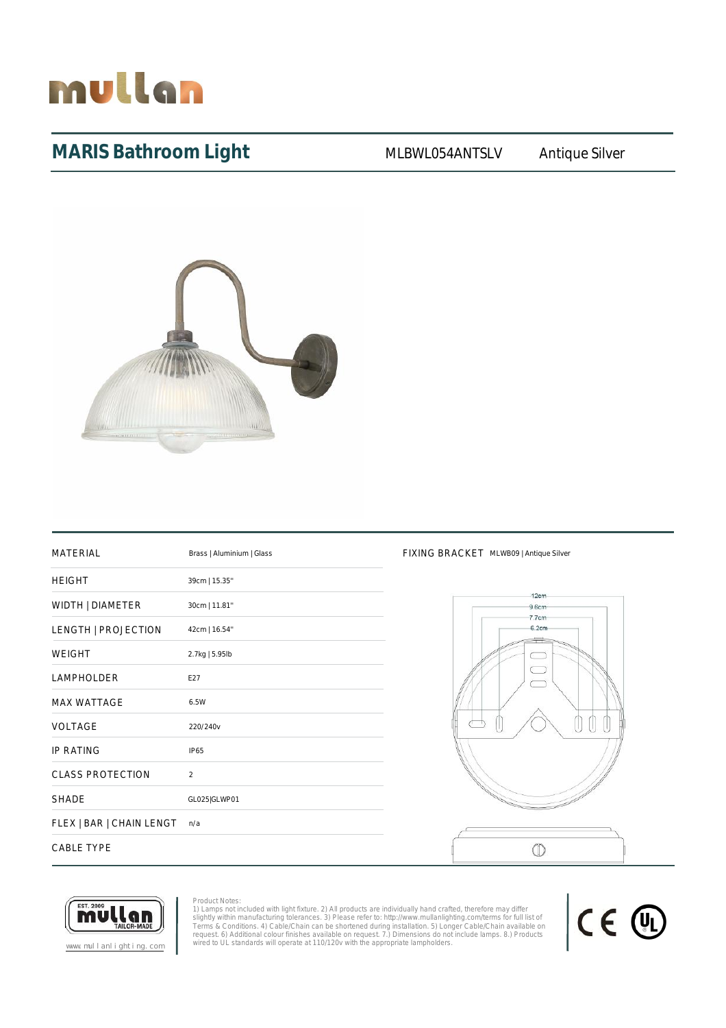# mullan

# MARIS Bathroom Light MLBWL054ANTSLV Antique Silver



| <b>MATERIAL</b>          | Brass   Aluminium   Glass |
|--------------------------|---------------------------|
| <b>HEIGHT</b>            | 39cm   15.35"             |
| WIDTH   DIAMETER         | 30cm   11.81"             |
| LENGTH   PROJECTION      | 42cm   16.54"             |
| <b>WEIGHT</b>            | 2.7kg   5.95lb            |
| <b>LAMPHOLDER</b>        | E27                       |
| <b>MAX WATTAGE</b>       | 6.5W                      |
| <b>VOLTAGE</b>           | 220/240v                  |
| <b>IP RATING</b>         | <b>IP65</b>               |
| <b>CLASS PROTECTION</b>  | $\overline{2}$            |
| <b>SHADE</b>             | GL025 GLWP01              |
| FLEX   BAR   CHAIN LENGT | n/a                       |
| <b>CABLE TYPE</b>        |                           |

#### FIXING BRACKET MLWB09 | Antique Silver





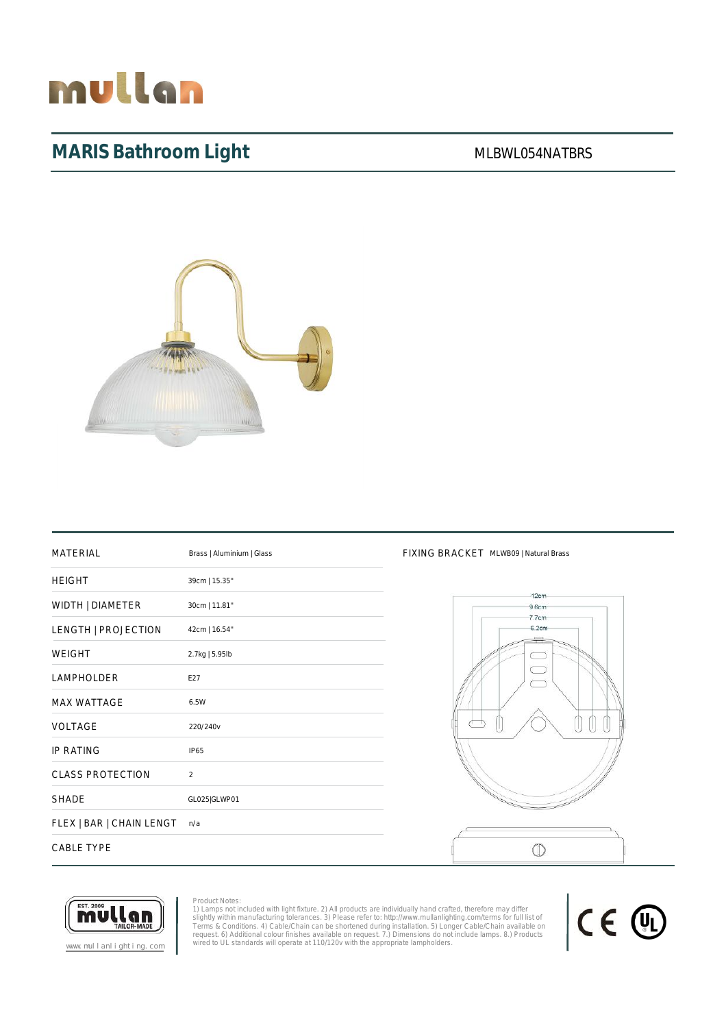# mullan

# MARIS Bathroom Light MARIS Bathroom Light



| <b>MATERIAL</b>          | Brass   Aluminium   Glass |
|--------------------------|---------------------------|
| <b>HEIGHT</b>            | 39cm   15.35"             |
| WIDTH   DIAMETER         | 30cm   11.81"             |
| LENGTH   PROJECTION      | 42cm   16.54"             |
| <b>WEIGHT</b>            | 2.7kg   5.95lb            |
| <b>LAMPHOLDER</b>        | E27                       |
| <b>MAX WATTAGE</b>       | 6.5W                      |
| VOLTAGE                  | 220/240v                  |
| <b>IP RATING</b>         | <b>IP65</b>               |
| <b>CLASS PROTECTION</b>  | $\overline{2}$            |
| <b>SHADE</b>             | GL025 GLWP01              |
| FLEX   BAR   CHAIN LENGT | n/a                       |
| <b>CABLE TYPE</b>        |                           |

### FIXING BRACKET MLWB09 | Natural Brass





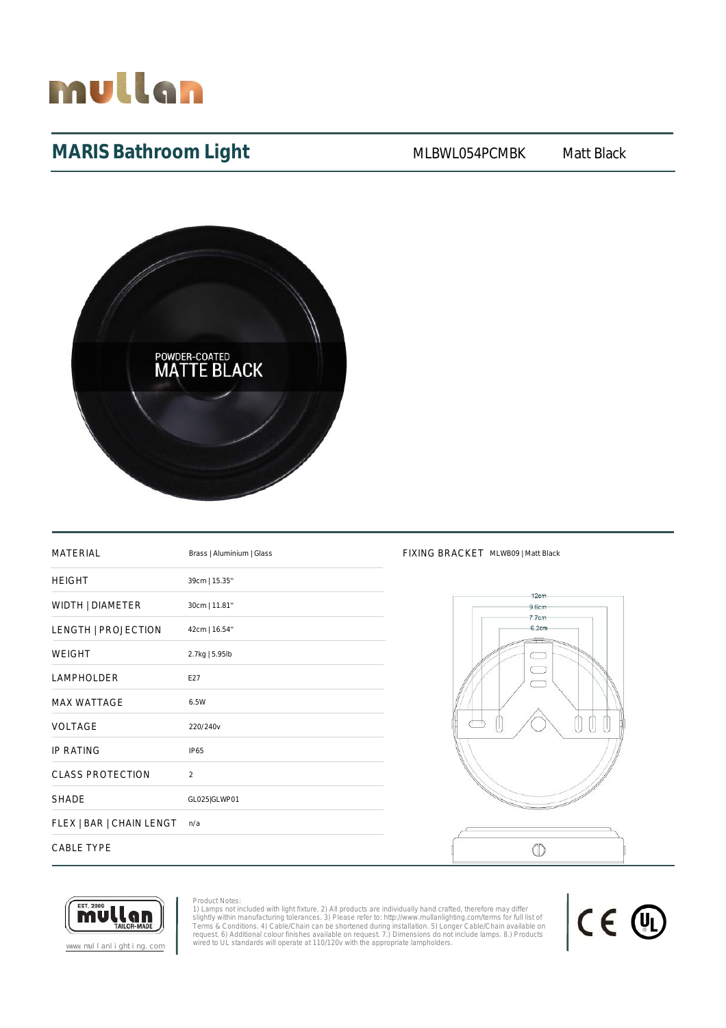

# **MARIS Bathroom Light** MLBWL054PCMBK Matt Black



| <b>MATERIAL</b>          | Brass   Aluminium   Glass |
|--------------------------|---------------------------|
| <b>HEIGHT</b>            | 39cm   15.35"             |
| WIDTH   DIAMETER         | 30cm   11.81"             |
| LENGTH   PROJECTION      | 42cm   16.54"             |
| <b>WEIGHT</b>            | 2.7kg   5.95lb            |
| <b>LAMPHOLDER</b>        | E27                       |
| <b>MAX WATTAGE</b>       | 6.5W                      |
| VOLTAGE                  | 220/240v                  |
| <b>IP RATING</b>         | <b>IP65</b>               |
| <b>CLASS PROTECTION</b>  | $\mathfrak{D}$            |
| <b>SHADE</b>             | GL025 GLWP01              |
| FLEX   BAR   CHAIN LENGT | n/a                       |
| <b>CABLE TYPE</b>        |                           |

#### FIXING BRACKET MLWB09 | Matt Black





Product Notes: 1) Lamps not included with light fixture. 2) All products are individually hand crafted, therefore may differ<br>slightly within manufacturing tolerances. 3) Please refer to: http://www.mullanlighting.com/terms for full list

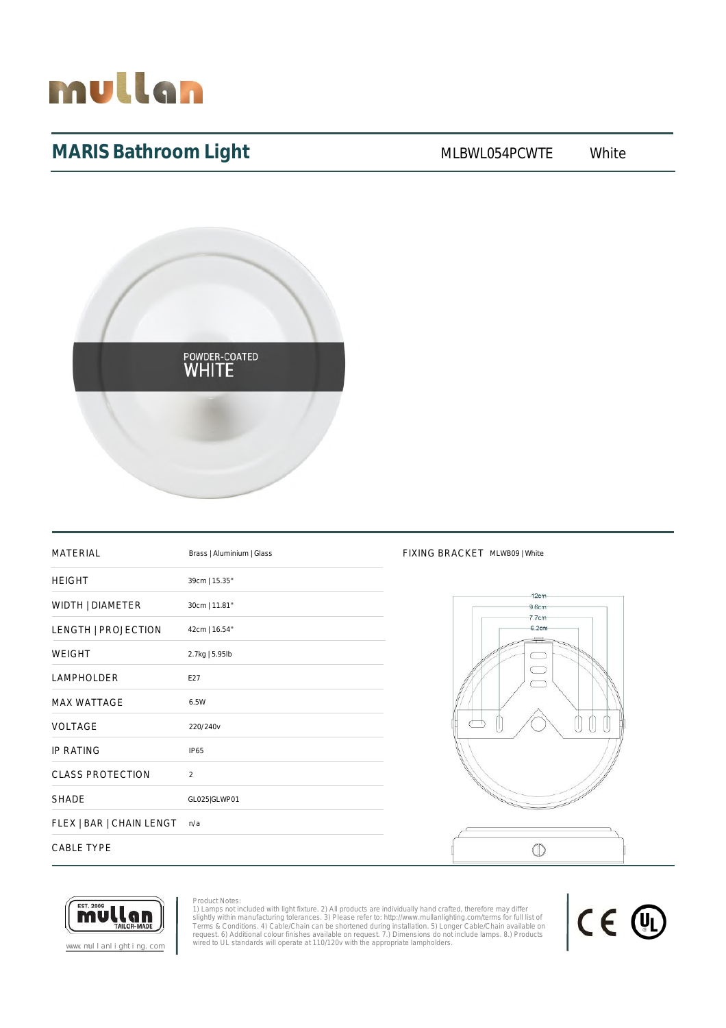

# MARIS Bathroom Light MLBWL054PCWTE White



| <b>MATERIAL</b>          | Brass   Aluminium   Glass |
|--------------------------|---------------------------|
| <b>HEIGHT</b>            | 39cm   15.35"             |
| WIDTH   DIAMETER         | 30cm   11.81"             |
| LENGTH   PROJECTION      | 42cm   16.54"             |
| <b>WEIGHT</b>            | 2.7kg   5.95lb            |
| <b>LAMPHOLDER</b>        | E27                       |
| <b>MAX WATTAGE</b>       | 6.5W                      |
| <b>VOLTAGE</b>           | 220/240v                  |
| <b>IP RATING</b>         | IP65                      |
| <b>CLASS PROTECTION</b>  | $\overline{2}$            |
| <b>SHADE</b>             | GL025 GLWP01              |
| FLEX   BAR   CHAIN LENGT | n/a                       |
| <b>CABLE TYPE</b>        |                           |

#### FIXING BRACKET MLWB09 | White





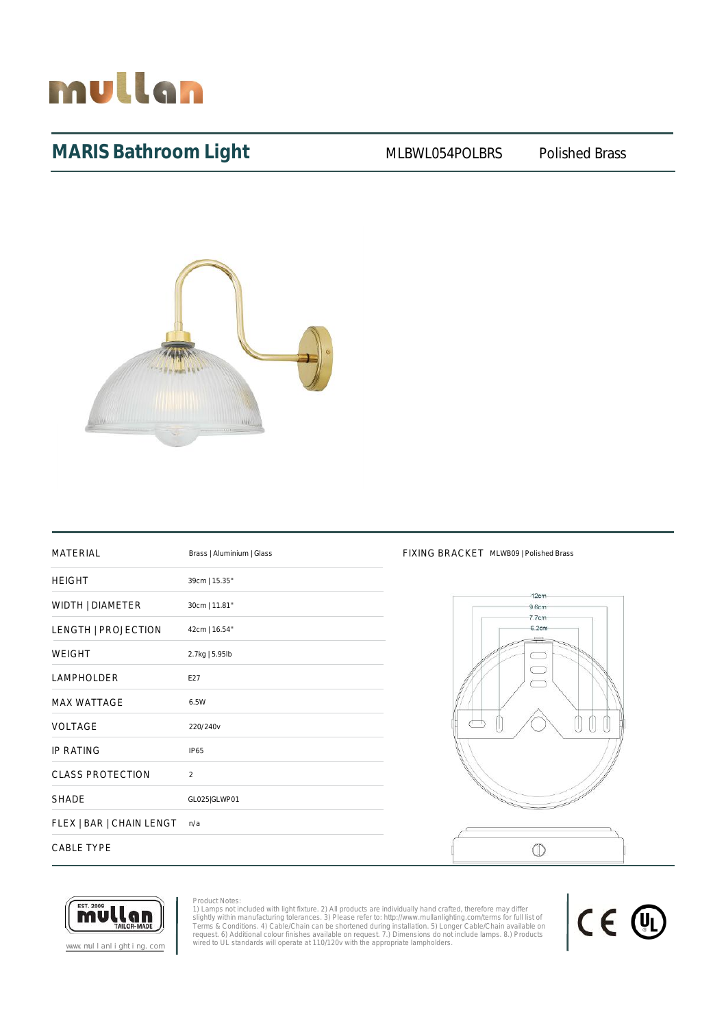

## MARIS Bathroom Light MLBWL054POLBRS Polished Brass



| <b>MATERIAL</b>          | Brass   Aluminium   Glass |
|--------------------------|---------------------------|
| <b>HEIGHT</b>            | 39cm   15.35"             |
| WIDTH   DIAMETER         | 30cm   11.81"             |
| LENGTH   PROJECTION      | 42cm   16.54"             |
| <b>WEIGHT</b>            | 2.7kg   5.95lb            |
| <b>LAMPHOLDER</b>        | E27                       |
| <b>MAX WATTAGE</b>       | 6.5W                      |
| <b>VOLTAGE</b>           | 220/240v                  |
| <b>IP RATING</b>         | <b>IP65</b>               |
| <b>CLASS PROTECTION</b>  | $\mathfrak{D}$            |
| <b>SHADE</b>             | GL025 GLWP01              |
| FLEX   BAR   CHAIN LENGT | n/a                       |
| <b>CABLE TYPE</b>        |                           |

#### FIXING BRACKET MLWB09 | Polished Brass



CE 4